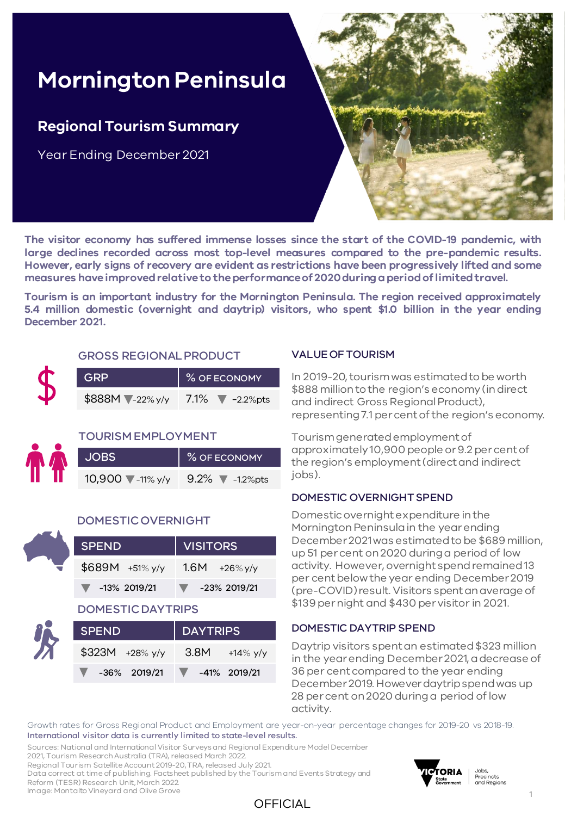# **Mornington Peninsula**

### **Regional Tourism Summary**

Year Ending December 2021



**The visitor economy has suffered immense losses since the start of the COVID-19 pandemic, with large declines recorded across most top-level measures compared to the pre-pandemic results. However, early signs of recovery are evident as restrictions have been progressively lifted and some measures haveimprovedrelativeto theperformanceof 2020duringaperiodoflimitedtravel.**

**Tourism is an important industry for the Mornington Peninsula. The region received approximately 5.4 million domestic (overnight and daytrip) visitors, who spent \$1.0 billion in the year ending December 2021.**

#### GROSS REGIONAL PRODUCT

| <b>GRP</b>                | $\parallel$ % OF ECONOMY   |
|---------------------------|----------------------------|
| $$888M$ $\sqrt{-22\%y/y}$ | 7.1% $\sqrt{\ }$ -2.2% pts |

#### TOURISM EMPLOYMENT

| <b>JOBS</b>                 | % OF ECONOMY               |
|-----------------------------|----------------------------|
| 10,900 $\sqrt{\ }$ -11% y/y | $9.2\%$ $\sqrt{}$ -1.2%pts |

#### DOMESTIC OVERNIGHT

| <b>SPEND</b>                      | <b>VISITORS</b>              |
|-----------------------------------|------------------------------|
| $$689M + 51\%$ y/y                | 1.6M $+26\%y/y$              |
| $\blacktriangledown$ -13% 2019/21 | -23% 2019/21<br><u>a ser</u> |

#### DOMESTIC DAYTRIPS

| <b>SPEND</b>            | DAYTRIPS              |  |  |  |  |  |
|-------------------------|-----------------------|--|--|--|--|--|
| $$323M + 28\%$ y/y      | 3.8M $+14\%$ y/y      |  |  |  |  |  |
| $\sqrt{4.36\%}$ 2019/21 | $\sqrt{41\%}$ 2019/21 |  |  |  |  |  |

#### VALUE OF TOURISM

In 2019-20, tourism was estimated to be worth \$888 million to the region's economy (in direct and indirect Gross Regional Product), representing 7.1 per cent of the region's economy.

Tourism generated employment of approximately 10,900 people or 9.2 per cent of the region's employment (direct and indirect jobs).

#### DOMESTIC OVERNIGHT SPEND

Domestic overnight expenditure in the Mornington Peninsula in the year ending December 2021 was estimated to be \$689 million, up 51 per cent on 2020 during a period of low activity. However, overnight spend remained 13 per cent below the year ending December 2019 (pre-COVID) result. Visitors spent an average of \$139 per night and \$430 per visitor in 2021.

#### DOMESTIC DAYTRIP SPEND

Daytrip visitors spent an estimated \$323 million in the year ending December 2021, a decrease of 36 per cent compared to the year ending December 2019. However daytrip spend was up 28 per cent on 2020 during a period of low activity.

Growth rates for Gross Regional Product and Employment are year-on-year percentage changes for 2019-20 vs 2018-19. International visitor data is currently limited to state-level results.

Sources: National and International Visitor Surveys and Regional Expenditure Model December 2021, Tourism Research Australia (TRA), released March 2022.

Regional Tourism Satellite Account 2019-20, TRA, released July 2021.

Data correct at time of publishing. Factsheet published by the Tourism and Events Strategy and Reform (TESR) Research Unit, March 2022.

Image: Montalto Vineyard and Olive Grove





Jobs,<br>Precincts and Regions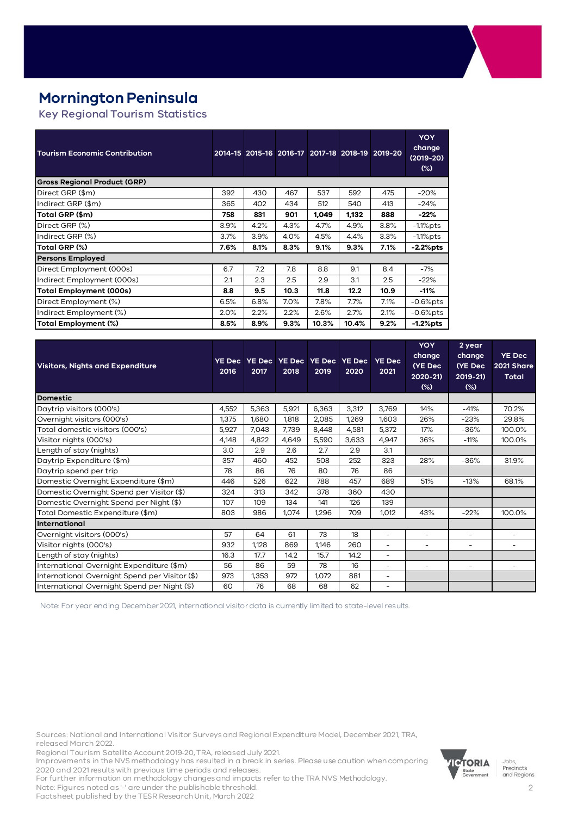### **Mornington Peninsula**

Key Regional Tourism Statistics

| <b>Tourism Economic Contribution</b> |      |      |      |       |       | 2014-15 2015-16 2016-17 2017-18 2018-19 2019-20 | <b>YOY</b><br>change<br>$(2019 - 20)$<br>$(\%)$ |
|--------------------------------------|------|------|------|-------|-------|-------------------------------------------------|-------------------------------------------------|
| <b>Gross Regional Product (GRP)</b>  |      |      |      |       |       |                                                 |                                                 |
| Direct GRP (\$m)                     | 392  | 430  | 467  | 537   | 592   | 475                                             | $-20%$                                          |
| Indirect GRP (\$m)                   | 365  | 402  | 434  | 512   | 540   | 413                                             | $-24%$                                          |
| Total GRP (\$m)                      | 758  | 831  | 901  | 1,049 | 1,132 | 888                                             | -22%                                            |
| Direct GRP (%)                       | 3.9% | 4.2% | 4.3% | 4.7%  | 4.9%  | $3.8\%$                                         | $-1.1\%$ pts                                    |
| Indirect GRP (%)                     | 3.7% | 3.9% | 4.0% | 4.5%  | 4.4%  | 3.3%                                            | $-1.1\%$ pts                                    |
| Total GRP (%)                        | 7.6% | 8.1% | 8.3% | 9.1%  | 9.3%  | 7.1%                                            | $-2.2%$ pts                                     |
| <b>Persons Employed</b>              |      |      |      |       |       |                                                 |                                                 |
| Direct Employment (000s)             | 6.7  | 7.2  | 7.8  | 8.8   | 9.1   | 8.4                                             | $-7%$                                           |
| Indirect Employment (000s)           | 2.1  | 2.3  | 2.5  | 2.9   | 3.1   | 2.5                                             | $-22%$                                          |
| <b>Total Employment (000s)</b>       | 8.8  | 9.5  | 10.3 | 11.8  | 12.2  | 10.9                                            | -11%                                            |
| Direct Employment (%)                | 6.5% | 6.8% | 7.0% | 7.8%  | 7.7%  | 7.1%                                            | $-0.6%$ pts                                     |
| Indirect Employment (%)              | 2.0% | 2.2% | 2.2% | 2.6%  | 2.7%  | 2.1%                                            | $-0.6\%$ pts                                    |
| Total Employment (%)                 | 8.5% | 8.9% | 9.3% | 10.3% | 10.4% | 9.2%                                            | $-1.2%$ pts                                     |

| <b>Visitors, Nights and Expenditure</b>        | <b>YE Dec</b><br>2016 | 2017  | 2018  | YE Dec YE Dec YE Dec YE Dec<br>2019 | 2020  | <b>YE Dec</b><br>2021    | <b>YOY</b><br>change<br>(YE Dec<br>2020-21)<br>$(\%)$ | 2 year<br>change<br>(YE Dec<br>$2019 - 21$<br>$(\%)$ | <b>YE Dec</b><br>2021 Share<br><b>Total</b> |
|------------------------------------------------|-----------------------|-------|-------|-------------------------------------|-------|--------------------------|-------------------------------------------------------|------------------------------------------------------|---------------------------------------------|
| <b>Domestic</b>                                |                       |       |       |                                     |       |                          |                                                       |                                                      |                                             |
| Daytrip visitors (000's)                       | 4,552                 | 5,363 | 5,921 | 6,363                               | 3,312 | 3,769                    | 14%                                                   | $-41%$                                               | 70.2%                                       |
| Overnight visitors (000's)                     | 1,375                 | 1,680 | 1,818 | 2,085                               | 1,269 | 1,603                    | 26%                                                   | $-23%$                                               | 29.8%                                       |
| Total domestic visitors (000's)                | 5,927                 | 7,043 | 7.739 | 8,448                               | 4,581 | 5,372                    | 17%                                                   | $-36%$                                               | 100.0%                                      |
| Visitor nights (000's)                         | 4,148                 | 4,822 | 4,649 | 5,590                               | 3,633 | 4,947                    | 36%                                                   | $-11%$                                               | 100.0%                                      |
| Length of stay (nights)                        | 3.0                   | 2.9   | 2.6   | 2.7                                 | 2.9   | 3.1                      |                                                       |                                                      |                                             |
| Daytrip Expenditure (\$m)                      | 357                   | 460   | 452   | 508                                 | 252   | 323                      | 28%                                                   | $-36%$                                               | 31.9%                                       |
| Daytrip spend per trip                         | 78                    | 86    | 76    | 80                                  | 76    | 86                       |                                                       |                                                      |                                             |
| Domestic Overnight Expenditure (\$m)           | 446                   | 526   | 622   | 788                                 | 457   | 689                      | 51%                                                   | $-13%$                                               | 68.1%                                       |
| Domestic Overnight Spend per Visitor (\$)      | 324                   | 313   | 342   | 378                                 | 360   | 430                      |                                                       |                                                      |                                             |
| Domestic Overnight Spend per Night (\$)        | 107                   | 109   | 134   | 141                                 | 126   | 139                      |                                                       |                                                      |                                             |
| Total Domestic Expenditure (\$m)               | 803                   | 986   | 1.074 | 1,296                               | 709   | 1,012                    | 43%                                                   | $-22%$                                               | 100.0%                                      |
| <b>International</b>                           |                       |       |       |                                     |       |                          |                                                       |                                                      |                                             |
| Overnight visitors (000's)                     | 57                    | 64    | 61    | 73                                  | 18    | $\overline{\phantom{0}}$ | ۰                                                     | ۰                                                    |                                             |
| Visitor nights (000's)                         | 932                   | 1,128 | 869   | 1,146                               | 260   | ۰                        |                                                       |                                                      |                                             |
| Length of stay (nights)                        | 16.3                  | 17.7  | 14.2  | 15.7                                | 14.2  | $\overline{\phantom{0}}$ |                                                       |                                                      |                                             |
| International Overnight Expenditure (\$m)      | 56                    | 86    | 59    | 78                                  | 16    | $\overline{\phantom{0}}$ | $\overline{\phantom{0}}$                              | ۰                                                    | ۰                                           |
| International Overnight Spend per Visitor (\$) | 973                   | 1,353 | 972   | 1,072                               | 881   | ٠                        |                                                       |                                                      |                                             |
| International Overnight Spend per Night (\$)   | 60                    | 76    | 68    | 68                                  | 62    | $\overline{\phantom{0}}$ |                                                       |                                                      |                                             |

Note: For year ending December 2021, international visitor data is currently limited to state-level results.

Sources: National and International Visitor Surveys and Regional Expenditure Model, December 2021, TRA, released March 2022.

Regional Tourism Satellite Account 2019-20, TRA, released July 2021.

Improvements in the NVS methodology has resulted in a break in series. Please use caution when comparing 2020 and 2021 results with previous time periods and releases.

For further information on methodology changes and impacts refer to the TRA NVS Methodology. Note: Figures noted as '-' are under the publishable threshold.

Factsheet published by the TESR Research Unit, March 2022



Jobs,<br>Precincts and Regions